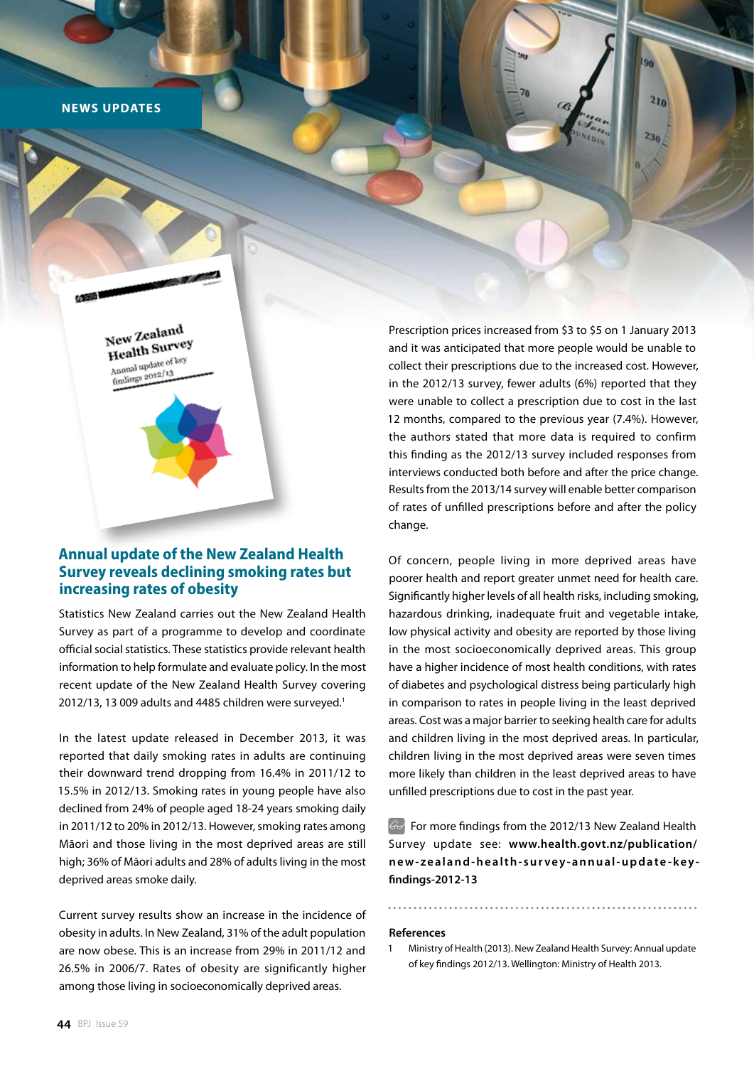**NEWS UPDATES**

New Zealand New Zealancey<br>Health Survey Annual update of key Annual update of<br>findings 2012/13

## **Annual update of the New Zealand Health Survey reveals declining smoking rates but increasing rates of obesity**

Statistics New Zealand carries out the New Zealand Health Survey as part of a programme to develop and coordinate official social statistics. These statistics provide relevant health information to help formulate and evaluate policy. In the most recent update of the New Zealand Health Survey covering 2012/13, 13 009 adults and 4485 children were surveyed.<sup>1</sup>

In the latest update released in December 2013, it was reported that daily smoking rates in adults are continuing their downward trend dropping from 16.4% in 2011/12 to 15.5% in 2012/13. Smoking rates in young people have also declined from 24% of people aged 18-24 years smoking daily in 2011/12 to 20% in 2012/13. However, smoking rates among Māori and those living in the most deprived areas are still high; 36% of Māori adults and 28% of adults living in the most deprived areas smoke daily.

Current survey results show an increase in the incidence of obesity in adults. In New Zealand, 31% of the adult population are now obese. This is an increase from 29% in 2011/12 and 26.5% in 2006/7. Rates of obesity are significantly higher among those living in socioeconomically deprived areas.

Prescription prices increased from \$3 to \$5 on 1 January 2013 and it was anticipated that more people would be unable to collect their prescriptions due to the increased cost. However, in the 2012/13 survey, fewer adults (6%) reported that they were unable to collect a prescription due to cost in the last 12 months, compared to the previous year (7.4%). However, the authors stated that more data is required to confirm this finding as the 2012/13 survey included responses from interviews conducted both before and after the price change. Results from the 2013/14 survey will enable better comparison of rates of unfilled prescriptions before and after the policy change.

 $210$ 

Of concern, people living in more deprived areas have poorer health and report greater unmet need for health care. Significantly higher levels of all health risks, including smoking, hazardous drinking, inadequate fruit and vegetable intake, low physical activity and obesity are reported by those living in the most socioeconomically deprived areas. This group have a higher incidence of most health conditions, with rates of diabetes and psychological distress being particularly high in comparison to rates in people living in the least deprived areas. Cost was a major barrier to seeking health care for adults and children living in the most deprived areas. In particular, children living in the most deprived areas were seven times more likely than children in the least deprived areas to have unfilled prescriptions due to cost in the past year.

 $\mathbb{G}$ For more findings from the 2012/13 New Zealand Health Survey update see: **www.health.govt.nz/publication/ new-zealand-health-survey-annual-update-keyfindings-2012-13**

#### **References**

1 Ministry of Health (2013). New Zealand Health Survey: Annual update of key findings 2012/13. Wellington: Ministry of Health 2013.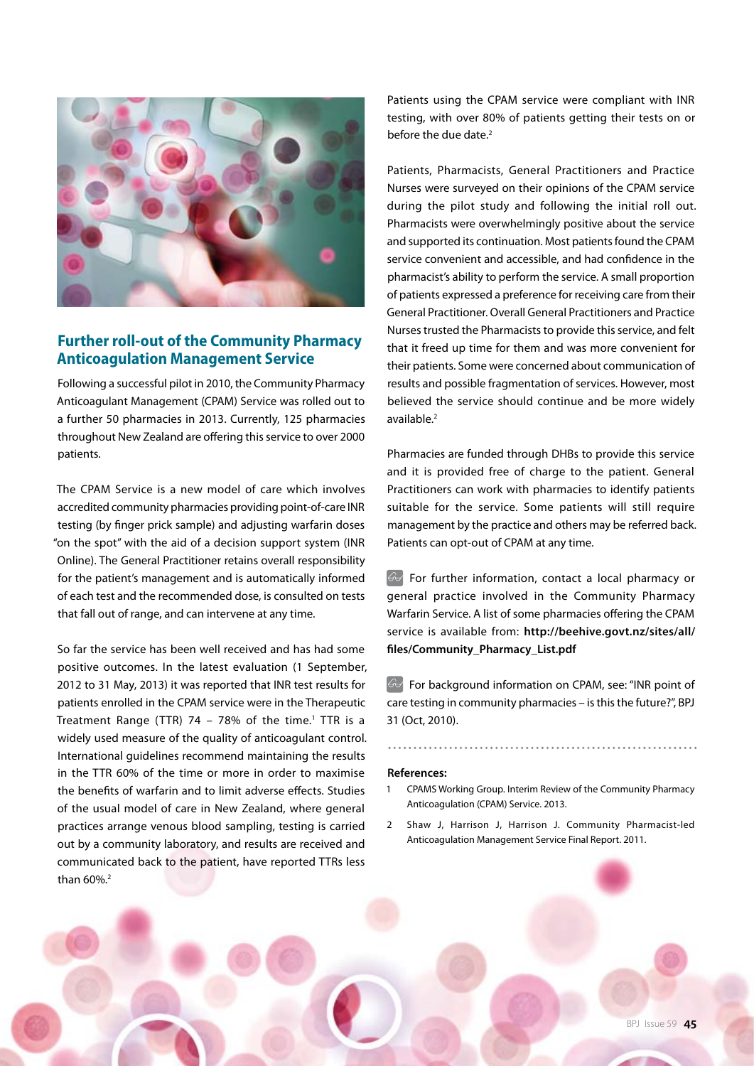

## **Further roll-out of the Community Pharmacy Anticoagulation Management Service**

Following a successful pilot in 2010, the Community Pharmacy Anticoagulant Management (CPAM) Service was rolled out to a further 50 pharmacies in 2013. Currently, 125 pharmacies throughout New Zealand are offering this service to over 2000 patients.

The CPAM Service is a new model of care which involves accredited community pharmacies providing point-of-care INR testing (by finger prick sample) and adjusting warfarin doses "on the spot" with the aid of a decision support system (INR Online). The General Practitioner retains overall responsibility for the patient's management and is automatically informed of each test and the recommended dose, is consulted on tests that fall out of range, and can intervene at any time.

So far the service has been well received and has had some positive outcomes. In the latest evaluation (1 September, 2012 to 31 May, 2013) it was reported that INR test results for patients enrolled in the CPAM service were in the Therapeutic Treatment Range (TTR) 74 - 78% of the time.<sup>1</sup> TTR is a widely used measure of the quality of anticoagulant control. International guidelines recommend maintaining the results in the TTR 60% of the time or more in order to maximise the benefits of warfarin and to limit adverse effects. Studies of the usual model of care in New Zealand, where general practices arrange venous blood sampling, testing is carried out by a community laboratory, and results are received and communicated back to the patient, have reported TTRs less than 60%.<sup>2</sup>

Patients using the CPAM service were compliant with INR testing, with over 80% of patients getting their tests on or before the due date.<sup>2</sup>

Patients, Pharmacists, General Practitioners and Practice Nurses were surveyed on their opinions of the CPAM service during the pilot study and following the initial roll out. Pharmacists were overwhelmingly positive about the service and supported its continuation. Most patients found the CPAM service convenient and accessible, and had confidence in the pharmacist's ability to perform the service. A small proportion of patients expressed a preference for receiving care from their General Practitioner. Overall General Practitioners and Practice Nurses trusted the Pharmacists to provide this service, and felt that it freed up time for them and was more convenient for their patients. Some were concerned about communication of results and possible fragmentation of services. However, most believed the service should continue and be more widely available.<sup>2</sup>

Pharmacies are funded through DHBs to provide this service and it is provided free of charge to the patient. General Practitioners can work with pharmacies to identify patients suitable for the service. Some patients will still require management by the practice and others may be referred back. Patients can opt-out of CPAM at any time.

 $\mathcal{F}$  For further information, contact a local pharmacy or general practice involved in the Community Pharmacy Warfarin Service. A list of some pharmacies offering the CPAM service is available from: **http://beehive.govt.nz/sites/all/ files/Community\_Pharmacy\_List.pdf** 

 $\mathbb{G}$  For background information on CPAM, see: "INR point of care testing in community pharmacies – is this the future?", BPJ 31 (Oct, 2010).

#### **References:**

- 1 CPAMS Working Group. Interim Review of the Community Pharmacy Anticoagulation (CPAM) Service. 2013.
- 2 Shaw J, Harrison J, Harrison J. Community Pharmacist-led Anticoagulation Management Service Final Report. 2011.